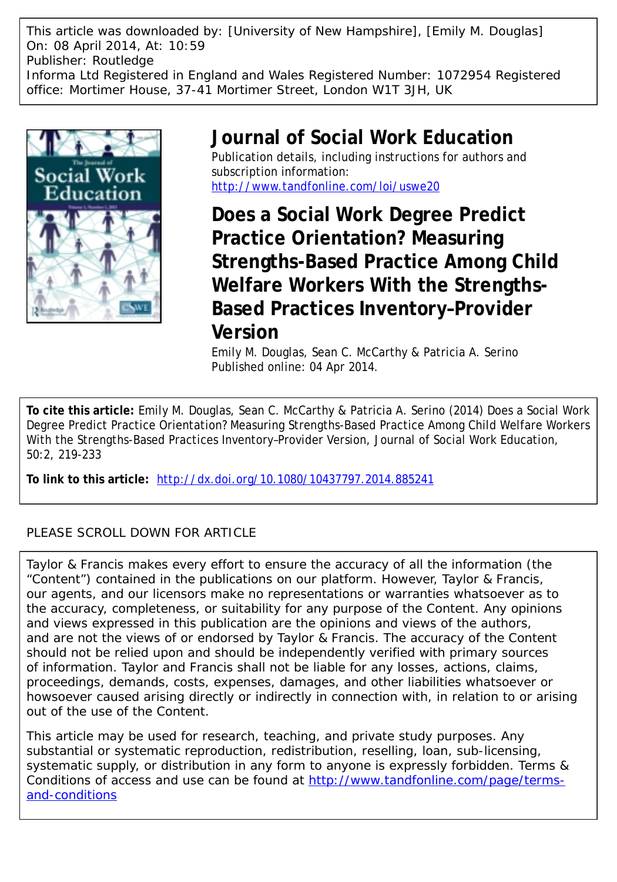This article was downloaded by: [University of New Hampshire], [Emily M. Douglas] On: 08 April 2014, At: 10:59 Publisher: Routledge Informa Ltd Registered in England and Wales Registered Number: 1072954 Registered office: Mortimer House, 37-41 Mortimer Street, London W1T 3JH, UK



# **Journal of Social Work Education** Publication details, including instructions for authors and subscription information: <http://www.tandfonline.com/loi/uswe20>

**Does a Social Work Degree Predict Practice Orientation? Measuring Strengths-Based Practice Among Child Welfare Workers With the Strengths-Based Practices Inventory–Provider Version**

Emily M. Douglas, Sean C. McCarthy & Patricia A. Serino Published online: 04 Apr 2014.

**To cite this article:** Emily M. Douglas, Sean C. McCarthy & Patricia A. Serino (2014) Does a Social Work Degree Predict Practice Orientation? Measuring Strengths-Based Practice Among Child Welfare Workers With the Strengths-Based Practices Inventory–Provider Version, Journal of Social Work Education, 50:2, 219-233

**To link to this article:** <http://dx.doi.org/10.1080/10437797.2014.885241>

## PLEASE SCROLL DOWN FOR ARTICLE

Taylor & Francis makes every effort to ensure the accuracy of all the information (the "Content") contained in the publications on our platform. However, Taylor & Francis, our agents, and our licensors make no representations or warranties whatsoever as to the accuracy, completeness, or suitability for any purpose of the Content. Any opinions and views expressed in this publication are the opinions and views of the authors, and are not the views of or endorsed by Taylor & Francis. The accuracy of the Content should not be relied upon and should be independently verified with primary sources of information. Taylor and Francis shall not be liable for any losses, actions, claims, proceedings, demands, costs, expenses, damages, and other liabilities whatsoever or howsoever caused arising directly or indirectly in connection with, in relation to or arising out of the use of the Content.

This article may be used for research, teaching, and private study purposes. Any substantial or systematic reproduction, redistribution, reselling, loan, sub-licensing, systematic supply, or distribution in any form to anyone is expressly forbidden. Terms & Conditions of access and use can be found at [http://www.tandfonline.com/page/terms](http://www.tandfonline.com/page/terms-and-conditions)[and-conditions](http://www.tandfonline.com/page/terms-and-conditions)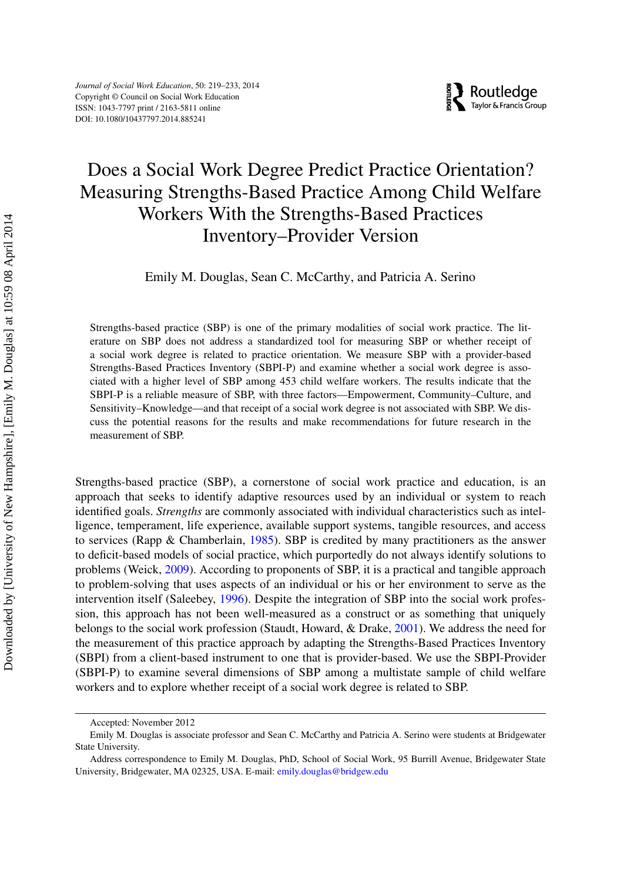# Does a Social Work Degree Predict Practice Orientation? Measuring Strengths-Based Practice Among Child Welfare Workers With the Strengths-Based Practices Inventory–Provider Version

Emily M. Douglas, Sean C. McCarthy, and Patricia A. Serino

Strengths-based practice (SBP) is one of the primary modalities of social work practice. The literature on SBP does not address a standardized tool for measuring SBP or whether receipt of a social work degree is related to practice orientation. We measure SBP with a provider-based Strengths-Based Practices Inventory (SBPI-P) and examine whether a social work degree is associated with a higher level of SBP among 453 child welfare workers. The results indicate that the SBPI-P is a reliable measure of SBP, with three factors—Empowerment, Community–Culture, and Sensitivity–Knowledge—and that receipt of a social work degree is not associated with SBP. We discuss the potential reasons for the results and make recommendations for future research in the measurement of SBP.

Strengths-based practice (SBP), a cornerstone of social work practice and education, is an approach that seeks to identify adaptive resources used by an individual or system to reach identified goals. *Strengths* are commonly associated with individual characteristics such as intelligence, temperament, life experience, available support systems, tangible resources, and access to services (Rapp & Chamberlain, [1985\)](#page-13-0). SBP is credited by many practitioners as the answer to deficit-based models of social practice, which purportedly do not always identify solutions to problems (Weick, [2009\)](#page-14-0). According to proponents of SBP, it is a practical and tangible approach to problem-solving that uses aspects of an individual or his or her environment to serve as the intervention itself (Saleebey, [1996\)](#page-14-1). Despite the integration of SBP into the social work profession, this approach has not been well-measured as a construct or as something that uniquely belongs to the social work profession (Staudt, Howard, & Drake, [2001\)](#page-14-2). We address the need for the measurement of this practice approach by adapting the Strengths-Based Practices Inventory (SBPI) from a client-based instrument to one that is provider-based. We use the SBPI-Provider (SBPI-P) to examine several dimensions of SBP among a multistate sample of child welfare workers and to explore whether receipt of a social work degree is related to SBP.

Accepted: November 2012

Emily M. Douglas is associate professor and Sean C. McCarthy and Patricia A. Serino were students at Bridgewater State University.

Address correspondence to Emily M. Douglas, PhD, School of Social Work, 95 Burrill Avenue, Bridgewater State University, Bridgewater, MA 02325, USA. E-mail: emily.douglas@bridgew.edu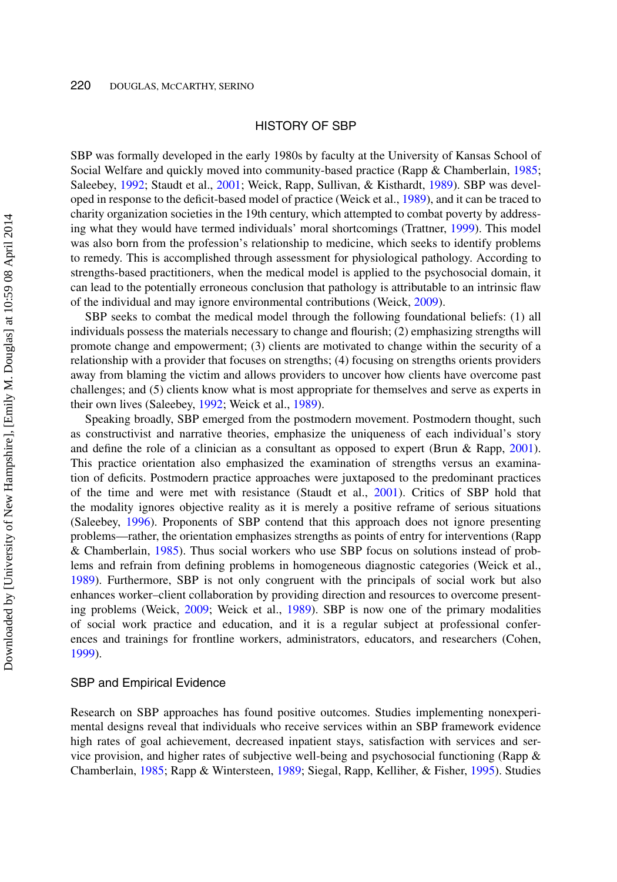#### HISTORY OF SBP

SBP was formally developed in the early 1980s by faculty at the University of Kansas School of Social Welfare and quickly moved into community-based practice (Rapp & Chamberlain, [1985;](#page-13-0) Saleebey, [1992;](#page-14-3) Staudt et al., [2001;](#page-14-2) Weick, Rapp, Sullivan, & Kisthardt, [1989\)](#page-14-4). SBP was developed in response to the deficit-based model of practice (Weick et al., [1989\)](#page-14-4), and it can be traced to charity organization societies in the 19th century, which attempted to combat poverty by addressing what they would have termed individuals' moral shortcomings (Trattner, [1999\)](#page-14-5). This model was also born from the profession's relationship to medicine, which seeks to identify problems to remedy. This is accomplished through assessment for physiological pathology. According to strengths-based practitioners, when the medical model is applied to the psychosocial domain, it can lead to the potentially erroneous conclusion that pathology is attributable to an intrinsic flaw of the individual and may ignore environmental contributions (Weick, [2009\)](#page-14-0).

SBP seeks to combat the medical model through the following foundational beliefs: (1) all individuals possess the materials necessary to change and flourish; (2) emphasizing strengths will promote change and empowerment; (3) clients are motivated to change within the security of a relationship with a provider that focuses on strengths; (4) focusing on strengths orients providers away from blaming the victim and allows providers to uncover how clients have overcome past challenges; and (5) clients know what is most appropriate for themselves and serve as experts in their own lives (Saleebey, [1992;](#page-14-3) Weick et al., [1989\)](#page-14-4).

Speaking broadly, SBP emerged from the postmodern movement. Postmodern thought, such as constructivist and narrative theories, emphasize the uniqueness of each individual's story and define the role of a clinician as a consultant as opposed to expert (Brun & Rapp, [2001\)](#page-12-0). This practice orientation also emphasized the examination of strengths versus an examination of deficits. Postmodern practice approaches were juxtaposed to the predominant practices of the time and were met with resistance (Staudt et al., [2001\)](#page-14-2). Critics of SBP hold that the modality ignores objective reality as it is merely a positive reframe of serious situations (Saleebey, [1996\)](#page-14-1). Proponents of SBP contend that this approach does not ignore presenting problems—rather, the orientation emphasizes strengths as points of entry for interventions (Rapp & Chamberlain, [1985\)](#page-13-0). Thus social workers who use SBP focus on solutions instead of problems and refrain from defining problems in homogeneous diagnostic categories (Weick et al., [1989\)](#page-14-4). Furthermore, SBP is not only congruent with the principals of social work but also enhances worker–client collaboration by providing direction and resources to overcome presenting problems (Weick, [2009;](#page-14-0) Weick et al., [1989\)](#page-14-4). SBP is now one of the primary modalities of social work practice and education, and it is a regular subject at professional conferences and trainings for frontline workers, administrators, educators, and researchers (Cohen, [1999\)](#page-13-1).

#### SBP and Empirical Evidence

Research on SBP approaches has found positive outcomes. Studies implementing nonexperimental designs reveal that individuals who receive services within an SBP framework evidence high rates of goal achievement, decreased inpatient stays, satisfaction with services and service provision, and higher rates of subjective well-being and psychosocial functioning (Rapp & Chamberlain, [1985;](#page-13-0) Rapp & Wintersteen, [1989;](#page-14-6) Siegal, Rapp, Kelliher, & Fisher, [1995\)](#page-14-7). Studies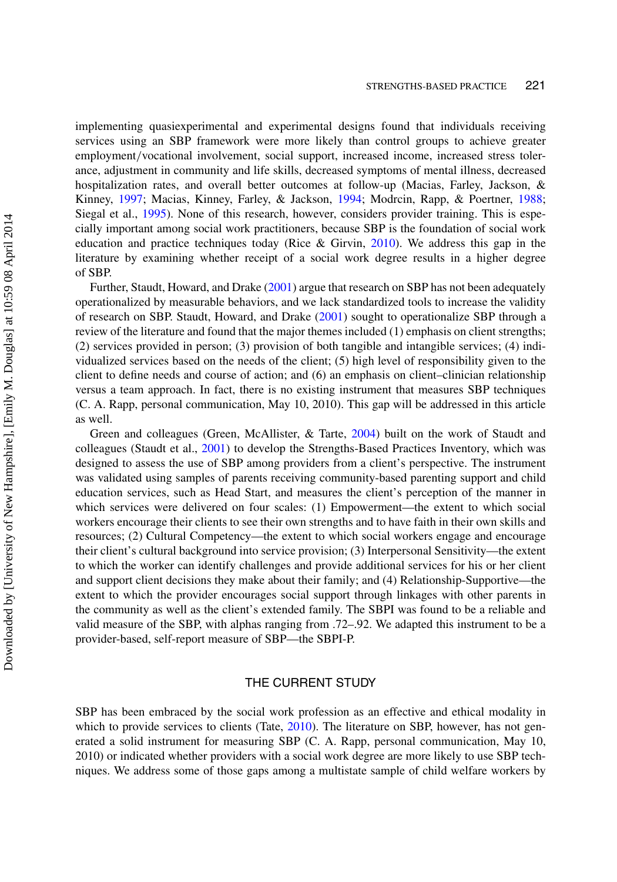implementing quasiexperimental and experimental designs found that individuals receiving services using an SBP framework were more likely than control groups to achieve greater employment/vocational involvement, social support, increased income, increased stress tolerance, adjustment in community and life skills, decreased symptoms of mental illness, decreased hospitalization rates, and overall better outcomes at follow-up (Macias, Farley, Jackson, & Kinney, [1997;](#page-13-2) Macias, Kinney, Farley, & Jackson, [1994;](#page-13-3) Modrcin, Rapp, & Poertner, [1988;](#page-13-4) Siegal et al., [1995\)](#page-14-7). None of this research, however, considers provider training. This is especially important among social work practitioners, because SBP is the foundation of social work education and practice techniques today (Rice & Girvin, [2010\)](#page-14-8). We address this gap in the literature by examining whether receipt of a social work degree results in a higher degree of SBP.

Further, Staudt, Howard, and Drake [\(2001\)](#page-14-2) argue that research on SBP has not been adequately operationalized by measurable behaviors, and we lack standardized tools to increase the validity of research on SBP. Staudt, Howard, and Drake [\(2001\)](#page-14-2) sought to operationalize SBP through a review of the literature and found that the major themes included (1) emphasis on client strengths; (2) services provided in person; (3) provision of both tangible and intangible services; (4) individualized services based on the needs of the client; (5) high level of responsibility given to the client to define needs and course of action; and (6) an emphasis on client–clinician relationship versus a team approach. In fact, there is no existing instrument that measures SBP techniques (C. A. Rapp, personal communication, May 10, 2010). This gap will be addressed in this article as well.

Green and colleagues (Green, McAllister, & Tarte, [2004\)](#page-13-5) built on the work of Staudt and colleagues (Staudt et al., [2001\)](#page-14-2) to develop the Strengths-Based Practices Inventory, which was designed to assess the use of SBP among providers from a client's perspective. The instrument was validated using samples of parents receiving community-based parenting support and child education services, such as Head Start, and measures the client's perception of the manner in which services were delivered on four scales: (1) Empowerment—the extent to which social workers encourage their clients to see their own strengths and to have faith in their own skills and resources; (2) Cultural Competency—the extent to which social workers engage and encourage their client's cultural background into service provision; (3) Interpersonal Sensitivity—the extent to which the worker can identify challenges and provide additional services for his or her client and support client decisions they make about their family; and (4) Relationship-Supportive—the extent to which the provider encourages social support through linkages with other parents in the community as well as the client's extended family. The SBPI was found to be a reliable and valid measure of the SBP, with alphas ranging from .72–.92. We adapted this instrument to be a provider-based, self-report measure of SBP—the SBPI-P.

## THE CURRENT STUDY

SBP has been embraced by the social work profession as an effective and ethical modality in which to provide services to clients (Tate, [2010\)](#page-14-9). The literature on SBP, however, has not generated a solid instrument for measuring SBP (C. A. Rapp, personal communication, May 10, 2010) or indicated whether providers with a social work degree are more likely to use SBP techniques. We address some of those gaps among a multistate sample of child welfare workers by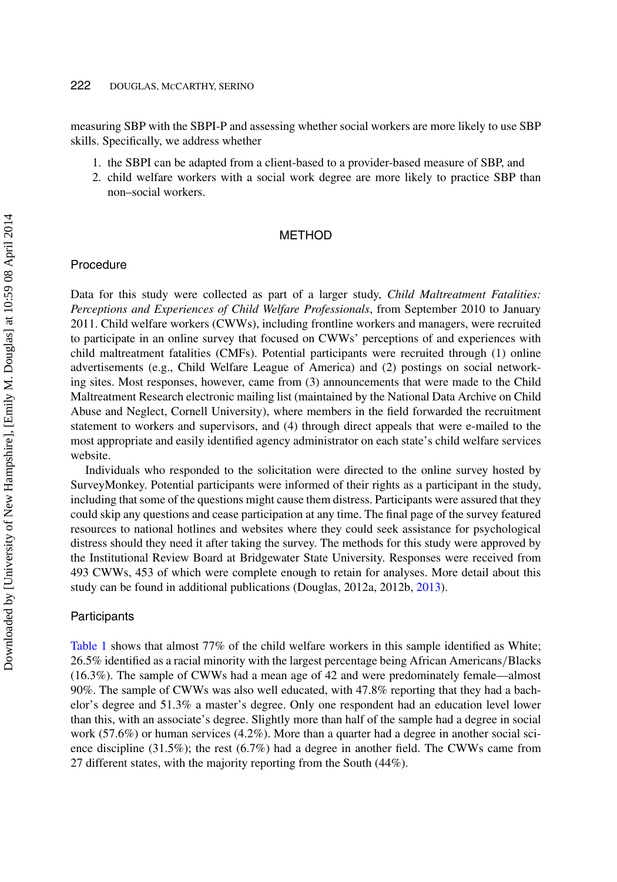#### 222 DOUGLAS, MCCARTHY, SERINO

measuring SBP with the SBPI-P and assessing whether social workers are more likely to use SBP skills. Specifically, we address whether

- 1. the SBPI can be adapted from a client-based to a provider-based measure of SBP, and
- 2. child welfare workers with a social work degree are more likely to practice SBP than non–social workers.

#### **METHOD**

#### Procedure

Data for this study were collected as part of a larger study, *Child Maltreatment Fatalities: Perceptions and Experiences of Child Welfare Professionals*, from September 2010 to January 2011. Child welfare workers (CWWs), including frontline workers and managers, were recruited to participate in an online survey that focused on CWWs' perceptions of and experiences with child maltreatment fatalities (CMFs). Potential participants were recruited through (1) online advertisements (e.g., Child Welfare League of America) and (2) postings on social networking sites. Most responses, however, came from (3) announcements that were made to the Child Maltreatment Research electronic mailing list (maintained by the National Data Archive on Child Abuse and Neglect, Cornell University), where members in the field forwarded the recruitment statement to workers and supervisors, and (4) through direct appeals that were e-mailed to the most appropriate and easily identified agency administrator on each state's child welfare services website.

Individuals who responded to the solicitation were directed to the online survey hosted by SurveyMonkey. Potential participants were informed of their rights as a participant in the study, including that some of the questions might cause them distress. Participants were assured that they could skip any questions and cease participation at any time. The final page of the survey featured resources to national hotlines and websites where they could seek assistance for psychological distress should they need it after taking the survey. The methods for this study were approved by the Institutional Review Board at Bridgewater State University. Responses were received from 493 CWWs, 453 of which were complete enough to retain for analyses. More detail about this study can be found in additional publications (Douglas, 2012a, 2012b, [2013\)](#page-13-6).

#### Participants

[Table 1](#page-5-0) shows that almost 77% of the child welfare workers in this sample identified as White; 26.5% identified as a racial minority with the largest percentage being African Americans/Blacks (16.3%). The sample of CWWs had a mean age of 42 and were predominately female—almost 90%. The sample of CWWs was also well educated, with 47.8% reporting that they had a bachelor's degree and 51.3% a master's degree. Only one respondent had an education level lower than this, with an associate's degree. Slightly more than half of the sample had a degree in social work (57.6%) or human services (4.2%). More than a quarter had a degree in another social science discipline (31.5%); the rest (6.7%) had a degree in another field. The CWWs came from 27 different states, with the majority reporting from the South (44%).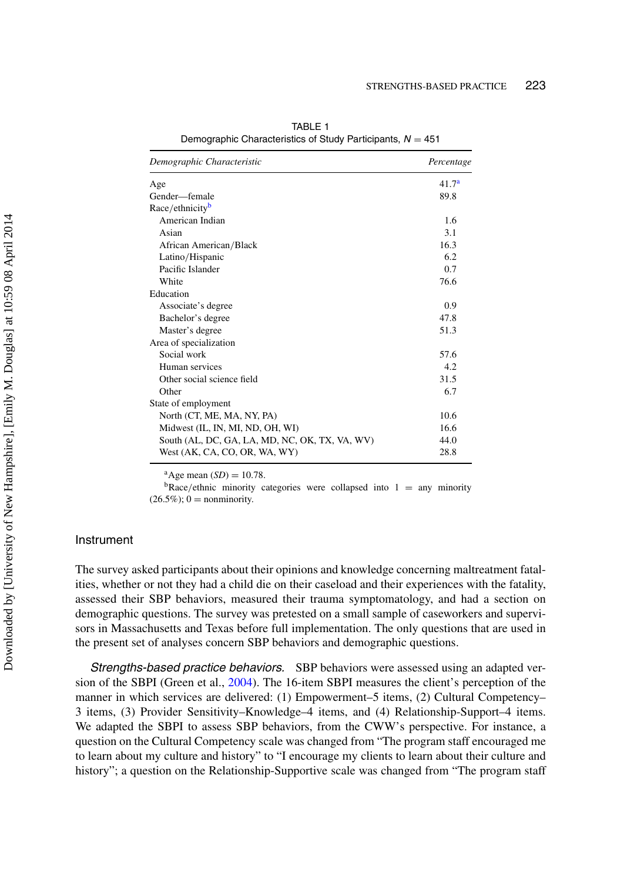| Demographic Characteristic                     | Percentage        |
|------------------------------------------------|-------------------|
| Age                                            | 41.7 <sup>a</sup> |
| Gender—female                                  | 89.8              |
| Race/ethnicity <sup>b</sup>                    |                   |
| American Indian                                | 1.6               |
| Asian                                          | 3.1               |
| African American/Black                         | 16.3              |
| Latino/Hispanic                                | 6.2               |
| Pacific Islander                               | 0.7               |
| White                                          | 76.6              |
| Education                                      |                   |
| Associate's degree                             | 0.9               |
| Bachelor's degree                              | 47.8              |
| Master's degree                                | 51.3              |
| Area of specialization                         |                   |
| Social work                                    | 57.6              |
| Human services                                 | 4.2               |
| Other social science field                     | 31.5              |
| Other                                          | 6.7               |
| State of employment                            |                   |
| North (CT, ME, MA, NY, PA)                     | 10.6              |
| Midwest (IL, IN, MI, ND, OH, WI)               | 16.6              |
| South (AL, DC, GA, LA, MD, NC, OK, TX, VA, WV) | 44.0              |
| West (AK, CA, CO, OR, WA, WY)                  | 28.8              |

<span id="page-5-0"></span>TABLE 1 Demographic Characteristics of Study Participants, *N* = 451

<sup>a</sup>Age mean (*SD*) = 10.78.<br><sup>b</sup>Race/ethnic minority categories were collapsed into 1 = any minority  $(26.5\%)$ ; 0 = nonminority.

## Instrument

The survey asked participants about their opinions and knowledge concerning maltreatment fatalities, whether or not they had a child die on their caseload and their experiences with the fatality, assessed their SBP behaviors, measured their trauma symptomatology, and had a section on demographic questions. The survey was pretested on a small sample of caseworkers and supervisors in Massachusetts and Texas before full implementation. The only questions that are used in the present set of analyses concern SBP behaviors and demographic questions.

*Strengths-based practice behaviors.* SBP behaviors were assessed using an adapted version of the SBPI (Green et al., [2004\)](#page-13-5). The 16-item SBPI measures the client's perception of the manner in which services are delivered: (1) Empowerment–5 items, (2) Cultural Competency– 3 items, (3) Provider Sensitivity–Knowledge–4 items, and (4) Relationship-Support–4 items. We adapted the SBPI to assess SBP behaviors, from the CWW's perspective. For instance, a question on the Cultural Competency scale was changed from "The program staff encouraged me to learn about my culture and history" to "I encourage my clients to learn about their culture and history"; a question on the Relationship-Supportive scale was changed from "The program staff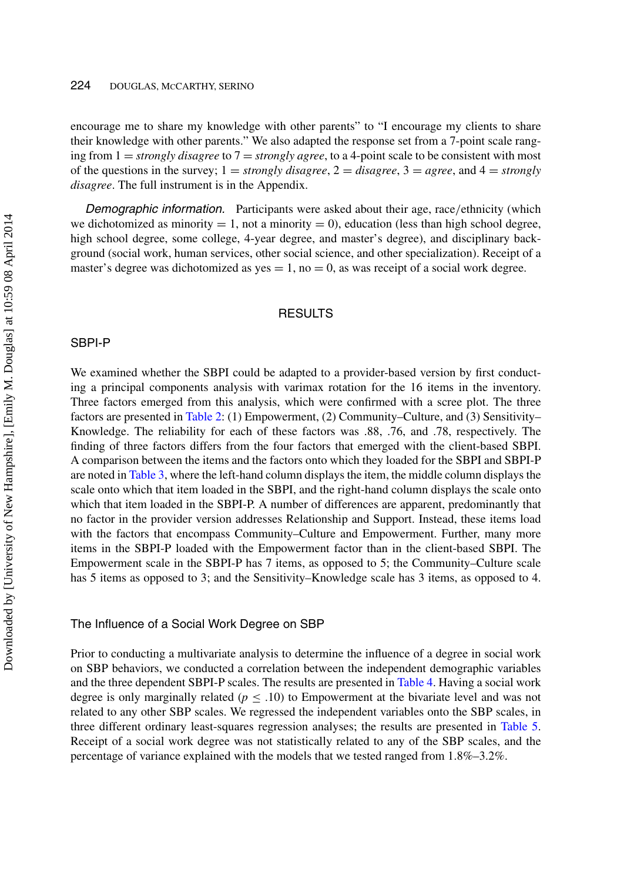encourage me to share my knowledge with other parents" to "I encourage my clients to share their knowledge with other parents." We also adapted the response set from a 7-point scale ranging from 1 = *strongly disagree* to 7 = *strongly agree*, to a 4-point scale to be consistent with most of the questions in the survey;  $1 =$  *strongly disagree*,  $2 =$  *disagree*,  $3 =$  *agree*, and  $4 =$  *strongly disagree*. The full instrument is in the Appendix.

*Demographic information.* Participants were asked about their age, race/ethnicity (which we dichotomized as minority  $= 1$ , not a minority  $= 0$ ), education (less than high school degree, high school degree, some college, 4-year degree, and master's degree), and disciplinary background (social work, human services, other social science, and other specialization). Receipt of a master's degree was dichotomized as yes  $= 1$ , no  $= 0$ , as was receipt of a social work degree.

## **RESULTS**

#### SBPI-P

We examined whether the SBPI could be adapted to a provider-based version by first conducting a principal components analysis with varimax rotation for the 16 items in the inventory. Three factors emerged from this analysis, which were confirmed with a scree plot. The three factors are presented in [Table 2:](#page-7-0) (1) Empowerment, (2) Community–Culture, and (3) Sensitivity– Knowledge. The reliability for each of these factors was .88, .76, and .78, respectively. The finding of three factors differs from the four factors that emerged with the client-based SBPI. A comparison between the items and the factors onto which they loaded for the SBPI and SBPI-P are noted in [Table 3,](#page-8-0) where the left-hand column displays the item, the middle column displays the scale onto which that item loaded in the SBPI, and the right-hand column displays the scale onto which that item loaded in the SBPI-P. A number of differences are apparent, predominantly that no factor in the provider version addresses Relationship and Support. Instead, these items load with the factors that encompass Community–Culture and Empowerment. Further, many more items in the SBPI-P loaded with the Empowerment factor than in the client-based SBPI. The Empowerment scale in the SBPI-P has 7 items, as opposed to 5; the Community–Culture scale has 5 items as opposed to 3; and the Sensitivity–Knowledge scale has 3 items, as opposed to 4.

#### The Influence of a Social Work Degree on SBP

Prior to conducting a multivariate analysis to determine the influence of a degree in social work on SBP behaviors, we conducted a correlation between the independent demographic variables and the three dependent SBPI-P scales. The results are presented in [Table 4.](#page-8-1) Having a social work degree is only marginally related ( $p \leq .10$ ) to Empowerment at the bivariate level and was not related to any other SBP scales. We regressed the independent variables onto the SBP scales, in three different ordinary least-squares regression analyses; the results are presented in [Table 5.](#page-9-0) Receipt of a social work degree was not statistically related to any of the SBP scales, and the percentage of variance explained with the models that we tested ranged from 1.8%–3.2%.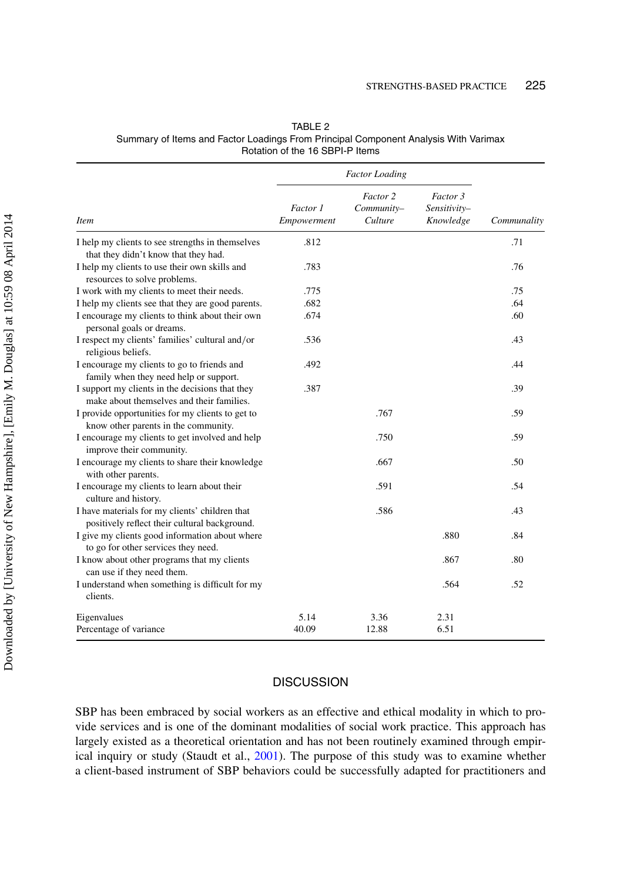|                                                                                                 | <b>Factor Loading</b>   |                                   |                                       |             |
|-------------------------------------------------------------------------------------------------|-------------------------|-----------------------------------|---------------------------------------|-------------|
| <b>Item</b>                                                                                     | Factor 1<br>Empowerment | Factor 2<br>Community-<br>Culture | Factor 3<br>Sensitivity-<br>Knowledge | Communality |
| I help my clients to see strengths in themselves<br>that they didn't know that they had.        | .812                    |                                   |                                       | .71         |
| I help my clients to use their own skills and<br>resources to solve problems.                   | .783                    |                                   |                                       | .76         |
| I work with my clients to meet their needs.                                                     | .775                    |                                   |                                       | .75         |
| I help my clients see that they are good parents.                                               | .682                    |                                   |                                       | .64         |
| I encourage my clients to think about their own<br>personal goals or dreams.                    | .674                    |                                   |                                       | .60         |
| I respect my clients' families' cultural and/or<br>religious beliefs.                           | .536                    |                                   |                                       | .43         |
| I encourage my clients to go to friends and<br>family when they need help or support.           | .492                    |                                   |                                       | .44         |
| I support my clients in the decisions that they<br>make about themselves and their families.    | .387                    |                                   |                                       | .39         |
| I provide opportunities for my clients to get to<br>know other parents in the community.        |                         | .767                              |                                       | .59         |
| I encourage my clients to get involved and help<br>improve their community.                     |                         | .750                              |                                       | .59         |
| I encourage my clients to share their knowledge<br>with other parents.                          |                         | .667                              |                                       | .50         |
| I encourage my clients to learn about their<br>culture and history.                             |                         | .591                              |                                       | .54         |
| I have materials for my clients' children that<br>positively reflect their cultural background. |                         | .586                              |                                       | .43         |
| I give my clients good information about where<br>to go for other services they need.           |                         |                                   | .880                                  | .84         |
| I know about other programs that my clients<br>can use if they need them.                       |                         |                                   | .867                                  | .80         |
| I understand when something is difficult for my<br>clients.                                     |                         |                                   | .564                                  | .52         |
| Eigenvalues                                                                                     | 5.14                    | 3.36                              | 2.31                                  |             |
| Percentage of variance                                                                          | 40.09                   | 12.88                             | 6.51                                  |             |

<span id="page-7-0"></span>

| TABLE 2                                                                             |  |
|-------------------------------------------------------------------------------------|--|
| Summary of Items and Factor Loadings From Principal Component Analysis With Varimax |  |
| Rotation of the 16 SBPI-P Items                                                     |  |

## **DISCUSSION**

SBP has been embraced by social workers as an effective and ethical modality in which to provide services and is one of the dominant modalities of social work practice. This approach has largely existed as a theoretical orientation and has not been routinely examined through empirical inquiry or study (Staudt et al., [2001\)](#page-14-2). The purpose of this study was to examine whether a client-based instrument of SBP behaviors could be successfully adapted for practitioners and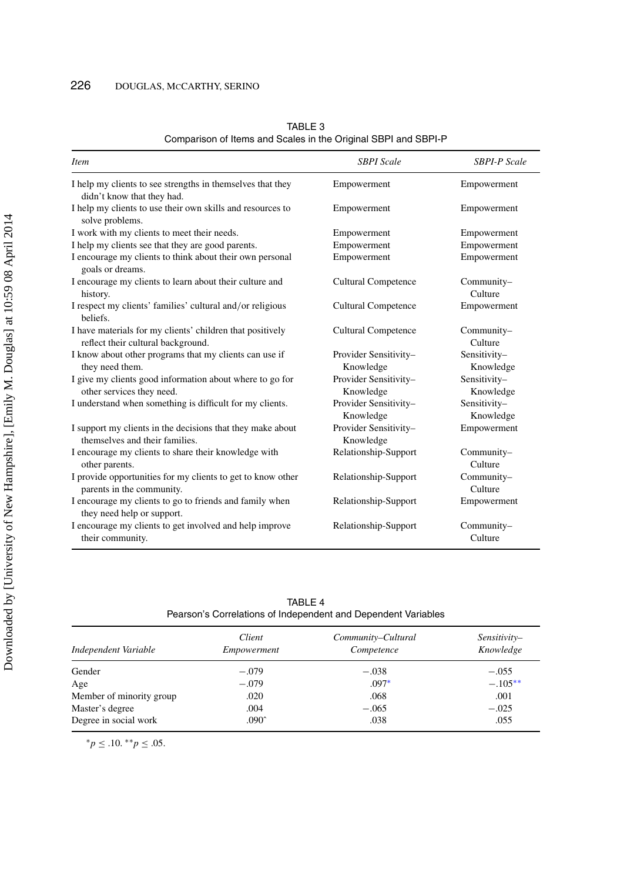| <i>Item</i>                                                                                     | <b>SBPI</b> Scale                  | <b>SBPI-P</b> Scale       |
|-------------------------------------------------------------------------------------------------|------------------------------------|---------------------------|
| I help my clients to see strengths in themselves that they<br>didn't know that they had.        | Empowerment                        | Empowerment               |
| I help my clients to use their own skills and resources to<br>solve problems.                   | Empowerment                        | Empowerment               |
| I work with my clients to meet their needs.                                                     | Empowerment                        | Empowerment               |
| I help my clients see that they are good parents.                                               | Empowerment                        | Empowerment               |
| I encourage my clients to think about their own personal<br>goals or dreams.                    | Empowerment                        | Empowerment               |
| I encourage my clients to learn about their culture and<br>history.                             | <b>Cultural Competence</b>         | Community-<br>Culture     |
| I respect my clients' families' cultural and/or religious<br>beliefs.                           | <b>Cultural Competence</b>         | Empowerment               |
| I have materials for my clients' children that positively<br>reflect their cultural background. | <b>Cultural Competence</b>         | Community-<br>Culture     |
| I know about other programs that my clients can use if<br>they need them.                       | Provider Sensitivity-<br>Knowledge | Sensitivity-<br>Knowledge |
| I give my clients good information about where to go for<br>other services they need.           | Provider Sensitivity-<br>Knowledge | Sensitivity-<br>Knowledge |
| I understand when something is difficult for my clients.                                        | Provider Sensitivity-<br>Knowledge | Sensitivity-<br>Knowledge |
| I support my clients in the decisions that they make about<br>themselves and their families.    | Provider Sensitivity-<br>Knowledge | Empowerment               |
| I encourage my clients to share their knowledge with<br>other parents.                          | Relationship-Support               | Community-<br>Culture     |
| I provide opportunities for my clients to get to know other<br>parents in the community.        | Relationship-Support               | Community-<br>Culture     |
| I encourage my clients to go to friends and family when<br>they need help or support.           | Relationship-Support               | Empowerment               |
| I encourage my clients to get involved and help improve<br>their community.                     | Relationship-Support               | Community-<br>Culture     |

<span id="page-8-0"></span>TABLE 3 Comparison of Items and Scales in the Original SBPI and SBPI-P

<span id="page-8-1"></span>

| TABI F 4                                                      |  |
|---------------------------------------------------------------|--|
| Pearson's Correlations of Independent and Dependent Variables |  |

| Independent Variable     | Client<br>Empowerment | Community–Cultural<br>Competence | Sensitivity-<br>Knowledge |
|--------------------------|-----------------------|----------------------------------|---------------------------|
| Gender                   | $-.079$               | $-.038$                          | $-.055$                   |
| Age                      | $-.079$               | $.097*$                          | $-.105**$                 |
| Member of minority group | .020                  | .068                             | .001                      |
| Master's degree          | .004                  | $-.065$                          | $-.025$                   |
| Degree in social work    | $.090^$               | .038                             | .055                      |

<sup>∗</sup>*p* ≤ .10. ∗∗*p* ≤ .05.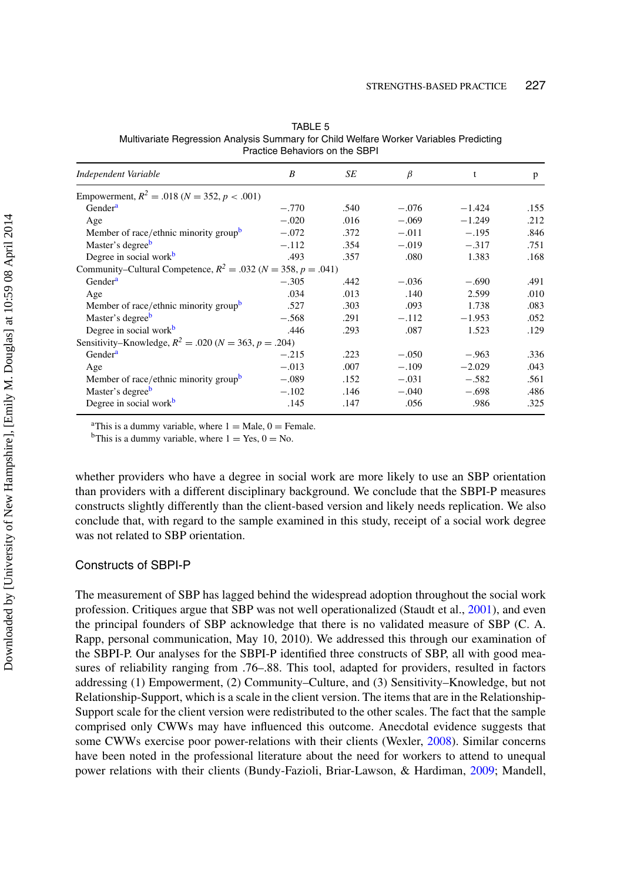| Independent Variable                                                   | B       | SE   | β       | t        | p    |
|------------------------------------------------------------------------|---------|------|---------|----------|------|
| Empowerment, $R^2 = .018$ ( $N = 352$ , $p < .001$ )                   |         |      |         |          |      |
| Gender <sup>a</sup>                                                    | $-.770$ | .540 | $-.076$ | $-1.424$ | .155 |
| Age                                                                    | $-.020$ | .016 | $-.069$ | $-1.249$ | .212 |
| Member of race/ethnic minority group <sup>b</sup>                      | $-.072$ | .372 | $-.011$ | $-.195$  | .846 |
| Master's degree <sup>b</sup>                                           | $-.112$ | .354 | $-.019$ | $-.317$  | .751 |
| Degree in social work <sup>b</sup>                                     | .493    | .357 | .080    | 1.383    | .168 |
| Community–Cultural Competence, $R^2 = .032$ ( $N = 358$ , $p = .041$ ) |         |      |         |          |      |
| Gender <sup>a</sup>                                                    | $-.305$ | .442 | $-.036$ | $-.690$  | .491 |
| Age                                                                    | .034    | .013 | .140    | 2.599    | .010 |
| Member of race/ethnic minority group <sup>b</sup>                      | .527    | .303 | .093    | 1.738    | .083 |
| Master's degree <sup>b</sup>                                           | $-.568$ | .291 | $-.112$ | $-1.953$ | .052 |
| Degree in social work <sup>b</sup>                                     | .446    | .293 | .087    | 1.523    | .129 |
| Sensitivity–Knowledge, $R^2 = .020$ ( $N = 363$ , $p = .204$ )         |         |      |         |          |      |
| Gender <sup>a</sup>                                                    | $-.215$ | .223 | $-.050$ | $-.963$  | .336 |
| Age                                                                    | $-.013$ | .007 | $-.109$ | $-2.029$ | .043 |
| Member of race/ethnic minority group <sup>b</sup>                      | $-.089$ | .152 | $-.031$ | $-.582$  | .561 |
| Master's degree <sup>b</sup>                                           | $-.102$ | .146 | $-.040$ | $-.698$  | .486 |
| Degree in social work <sup>b</sup>                                     | .145    | .147 | .056    | .986     | .325 |

<span id="page-9-0"></span>TABLE 5 Multivariate Regression Analysis Summary for Child Welfare Worker Variables Predicting Practice Behaviors on the SBPI

<sup>a</sup>This is a dummy variable, where  $1 = \text{Male}, 0 = \text{Female}.$ <br><sup>b</sup>This is a dummy variable, where  $1 = \text{Yes}, 0 = \text{No}.$ 

whether providers who have a degree in social work are more likely to use an SBP orientation than providers with a different disciplinary background. We conclude that the SBPI-P measures constructs slightly differently than the client-based version and likely needs replication. We also conclude that, with regard to the sample examined in this study, receipt of a social work degree was not related to SBP orientation.

### Constructs of SBPI-P

The measurement of SBP has lagged behind the widespread adoption throughout the social work profession. Critiques argue that SBP was not well operationalized (Staudt et al., [2001\)](#page-14-2), and even the principal founders of SBP acknowledge that there is no validated measure of SBP (C. A. Rapp, personal communication, May 10, 2010). We addressed this through our examination of the SBPI-P. Our analyses for the SBPI-P identified three constructs of SBP, all with good measures of reliability ranging from .76–.88. This tool, adapted for providers, resulted in factors addressing (1) Empowerment, (2) Community–Culture, and (3) Sensitivity–Knowledge, but not Relationship-Support, which is a scale in the client version. The items that are in the Relationship-Support scale for the client version were redistributed to the other scales. The fact that the sample comprised only CWWs may have influenced this outcome. Anecdotal evidence suggests that some CWWs exercise poor power-relations with their clients (Wexler, [2008\)](#page-14-10). Similar concerns have been noted in the professional literature about the need for workers to attend to unequal power relations with their clients (Bundy-Fazioli, Briar-Lawson, & Hardiman, [2009;](#page-13-7) Mandell,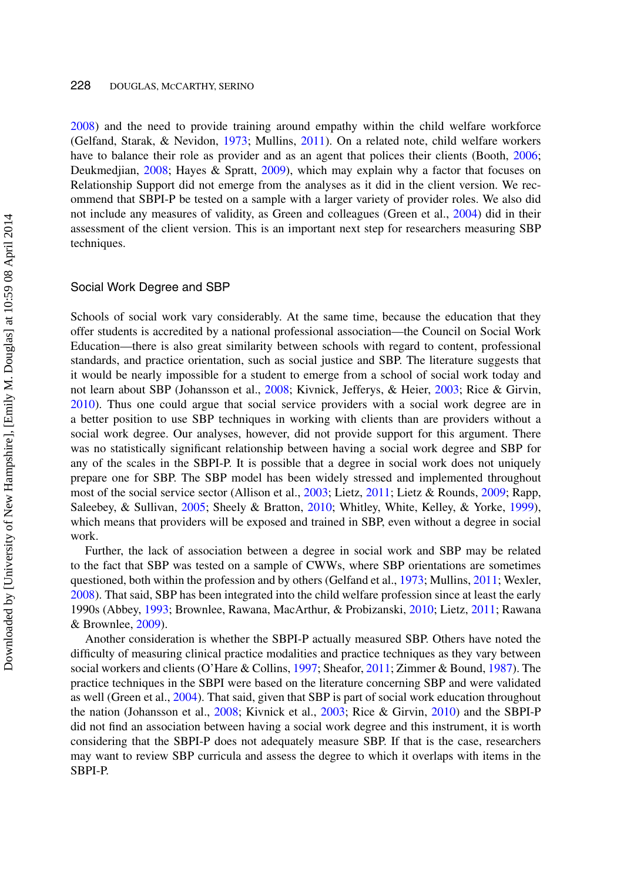[2008\)](#page-13-8) and the need to provide training around empathy within the child welfare workforce (Gelfand, Starak, & Nevidon, [1973;](#page-13-9) Mullins, [2011\)](#page-13-10). On a related note, child welfare workers have to balance their role as provider and as an agent that polices their clients (Booth, [2006;](#page-12-1) Deukmedjian, [2008;](#page-13-11) Hayes & Spratt, [2009\)](#page-13-12), which may explain why a factor that focuses on Relationship Support did not emerge from the analyses as it did in the client version. We recommend that SBPI-P be tested on a sample with a larger variety of provider roles. We also did not include any measures of validity, as Green and colleagues (Green et al., [2004\)](#page-13-5) did in their assessment of the client version. This is an important next step for researchers measuring SBP techniques.

#### Social Work Degree and SBP

Schools of social work vary considerably. At the same time, because the education that they offer students is accredited by a national professional association—the Council on Social Work Education—there is also great similarity between schools with regard to content, professional standards, and practice orientation, such as social justice and SBP. The literature suggests that it would be nearly impossible for a student to emerge from a school of social work today and not learn about SBP (Johansson et al., [2008;](#page-13-13) Kivnick, Jefferys, & Heier, [2003;](#page-13-14) Rice & Girvin, [2010\)](#page-14-8). Thus one could argue that social service providers with a social work degree are in a better position to use SBP techniques in working with clients than are providers without a social work degree. Our analyses, however, did not provide support for this argument. There was no statistically significant relationship between having a social work degree and SBP for any of the scales in the SBPI-P. It is possible that a degree in social work does not uniquely prepare one for SBP. The SBP model has been widely stressed and implemented throughout most of the social service sector (Allison et al., [2003;](#page-12-2) Lietz, [2011;](#page-13-15) Lietz & Rounds, [2009;](#page-13-16) Rapp, Saleebey, & Sullivan, [2005;](#page-13-17) Sheely & Bratton, [2010;](#page-14-11) Whitley, White, Kelley, & Yorke, [1999\)](#page-14-12), which means that providers will be exposed and trained in SBP, even without a degree in social work.

Further, the lack of association between a degree in social work and SBP may be related to the fact that SBP was tested on a sample of CWWs, where SBP orientations are sometimes questioned, both within the profession and by others (Gelfand et al., [1973;](#page-13-9) Mullins, [2011;](#page-13-10) Wexler, [2008\)](#page-14-10). That said, SBP has been integrated into the child welfare profession since at least the early 1990s (Abbey, [1993;](#page-12-3) Brownlee, Rawana, MacArthur, & Probizanski, [2010;](#page-12-4) Lietz, [2011;](#page-13-15) Rawana & Brownlee, [2009\)](#page-14-13).

Another consideration is whether the SBPI-P actually measured SBP. Others have noted the difficulty of measuring clinical practice modalities and practice techniques as they vary between social workers and clients (O'Hare & Collins, [1997;](#page-13-18) Sheafor, [2011;](#page-14-14) Zimmer & Bound, [1987\)](#page-14-15). The practice techniques in the SBPI were based on the literature concerning SBP and were validated as well (Green et al., [2004\)](#page-13-5). That said, given that SBP is part of social work education throughout the nation (Johansson et al., [2008;](#page-13-13) Kivnick et al., [2003;](#page-13-14) Rice & Girvin, [2010\)](#page-14-8) and the SBPI-P did not find an association between having a social work degree and this instrument, it is worth considering that the SBPI-P does not adequately measure SBP. If that is the case, researchers may want to review SBP curricula and assess the degree to which it overlaps with items in the SBPI-P.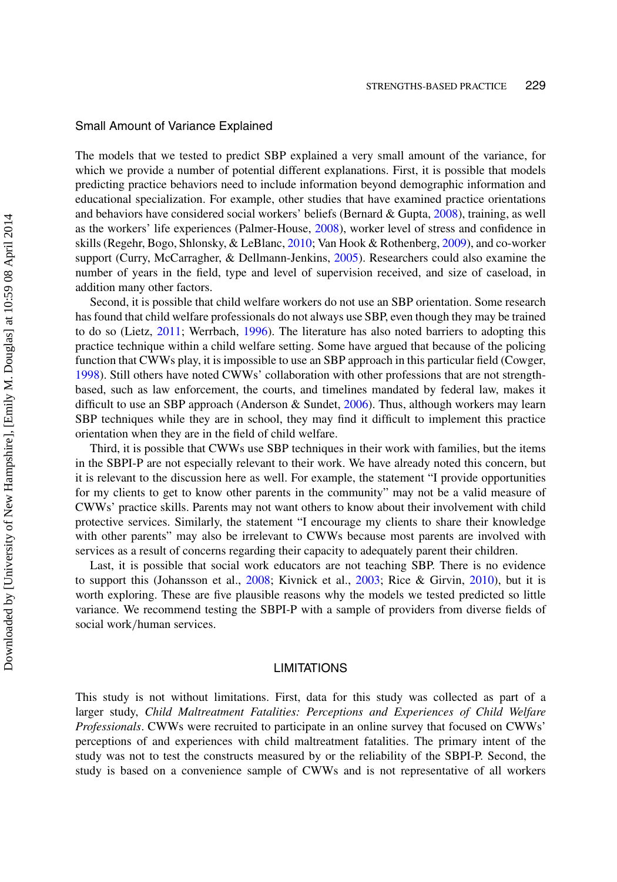#### Small Amount of Variance Explained

The models that we tested to predict SBP explained a very small amount of the variance, for which we provide a number of potential different explanations. First, it is possible that models predicting practice behaviors need to include information beyond demographic information and educational specialization. For example, other studies that have examined practice orientations and behaviors have considered social workers' beliefs (Bernard & Gupta, [2008\)](#page-12-5), training, as well as the workers' life experiences (Palmer-House, [2008\)](#page-13-19), worker level of stress and confidence in skills (Regehr, Bogo, Shlonsky, & LeBlanc, [2010;](#page-14-16) Van Hook & Rothenberg, [2009\)](#page-14-17), and co-worker support (Curry, McCarragher, & Dellmann-Jenkins, [2005\)](#page-13-20). Researchers could also examine the number of years in the field, type and level of supervision received, and size of caseload, in addition many other factors.

Second, it is possible that child welfare workers do not use an SBP orientation. Some research has found that child welfare professionals do not always use SBP, even though they may be trained to do so (Lietz, [2011;](#page-13-15) Werrbach, [1996\)](#page-14-18). The literature has also noted barriers to adopting this practice technique within a child welfare setting. Some have argued that because of the policing function that CWWs play, it is impossible to use an SBP approach in this particular field (Cowger, [1998\)](#page-13-21). Still others have noted CWWs' collaboration with other professions that are not strengthbased, such as law enforcement, the courts, and timelines mandated by federal law, makes it difficult to use an SBP approach (Anderson & Sundet, [2006\)](#page-12-6). Thus, although workers may learn SBP techniques while they are in school, they may find it difficult to implement this practice orientation when they are in the field of child welfare.

Third, it is possible that CWWs use SBP techniques in their work with families, but the items in the SBPI-P are not especially relevant to their work. We have already noted this concern, but it is relevant to the discussion here as well. For example, the statement "I provide opportunities for my clients to get to know other parents in the community" may not be a valid measure of CWWs' practice skills. Parents may not want others to know about their involvement with child protective services. Similarly, the statement "I encourage my clients to share their knowledge with other parents" may also be irrelevant to CWWs because most parents are involved with services as a result of concerns regarding their capacity to adequately parent their children.

Last, it is possible that social work educators are not teaching SBP. There is no evidence to support this (Johansson et al., [2008;](#page-13-13) Kivnick et al., [2003;](#page-13-14) Rice & Girvin, [2010\)](#page-14-8), but it is worth exploring. These are five plausible reasons why the models we tested predicted so little variance. We recommend testing the SBPI-P with a sample of providers from diverse fields of social work/human services.

## **LIMITATIONS**

This study is not without limitations. First, data for this study was collected as part of a larger study, *Child Maltreatment Fatalities: Perceptions and Experiences of Child Welfare Professionals*. CWWs were recruited to participate in an online survey that focused on CWWs' perceptions of and experiences with child maltreatment fatalities. The primary intent of the study was not to test the constructs measured by or the reliability of the SBPI-P. Second, the study is based on a convenience sample of CWWs and is not representative of all workers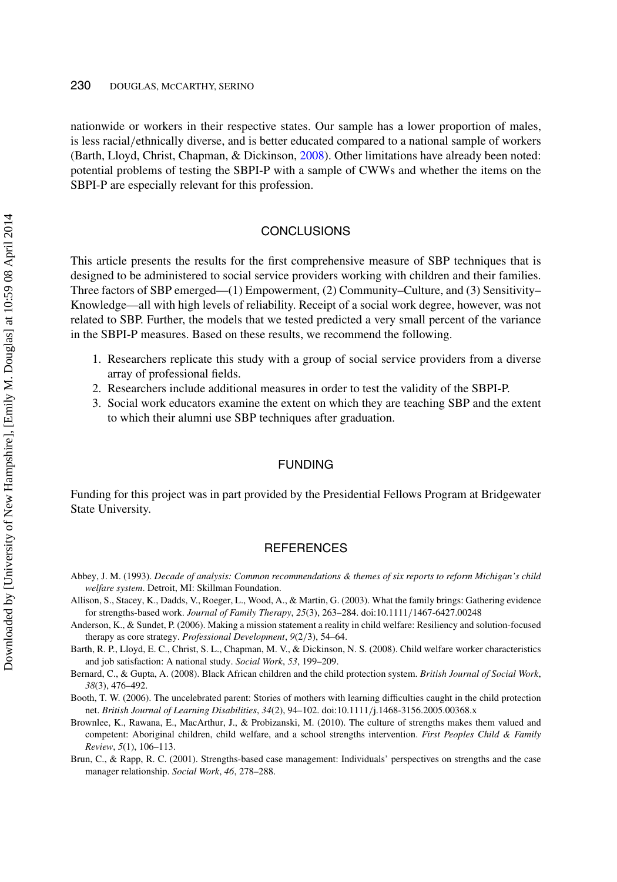#### 230 DOUGLAS, MCCARTHY, SERINO

nationwide or workers in their respective states. Our sample has a lower proportion of males, is less racial/ethnically diverse, and is better educated compared to a national sample of workers (Barth, Lloyd, Christ, Chapman, & Dickinson, [2008\)](#page-12-7). Other limitations have already been noted: potential problems of testing the SBPI-P with a sample of CWWs and whether the items on the SBPI-P are especially relevant for this profession.

## **CONCLUSIONS**

This article presents the results for the first comprehensive measure of SBP techniques that is designed to be administered to social service providers working with children and their families. Three factors of SBP emerged—(1) Empowerment, (2) Community–Culture, and (3) Sensitivity– Knowledge—all with high levels of reliability. Receipt of a social work degree, however, was not related to SBP. Further, the models that we tested predicted a very small percent of the variance in the SBPI-P measures. Based on these results, we recommend the following.

- 1. Researchers replicate this study with a group of social service providers from a diverse array of professional fields.
- 2. Researchers include additional measures in order to test the validity of the SBPI-P.
- 3. Social work educators examine the extent on which they are teaching SBP and the extent to which their alumni use SBP techniques after graduation.

#### FUNDING

Funding for this project was in part provided by the Presidential Fellows Program at Bridgewater State University.

## **REFERENCES**

- <span id="page-12-3"></span>Abbey, J. M. (1993). *Decade of analysis: Common recommendations & themes of six reports to reform Michigan's child welfare system*. Detroit, MI: Skillman Foundation.
- <span id="page-12-2"></span>Allison, S., Stacey, K., Dadds, V., Roeger, L., Wood, A., & Martin, G. (2003). What the family brings: Gathering evidence for strengths-based work. *Journal of Family Therapy*, *25*(3), 263–284. doi:10.1111/1467-6427.00248
- <span id="page-12-6"></span>Anderson, K., & Sundet, P. (2006). Making a mission statement a reality in child welfare: Resiliency and solution-focused therapy as core strategy. *Professional Development*, *9*(2/3), 54–64.
- <span id="page-12-7"></span>Barth, R. P., Lloyd, E. C., Christ, S. L., Chapman, M. V., & Dickinson, N. S. (2008). Child welfare worker characteristics and job satisfaction: A national study. *Social Work*, *53*, 199–209.
- <span id="page-12-5"></span>Bernard, C., & Gupta, A. (2008). Black African children and the child protection system. *British Journal of Social Work*, *38*(3), 476–492.
- <span id="page-12-1"></span>Booth, T. W. (2006). The uncelebrated parent: Stories of mothers with learning difficulties caught in the child protection net. *British Journal of Learning Disabilities*, *34*(2), 94–102. doi:10.1111/j.1468-3156.2005.00368.x
- <span id="page-12-4"></span>Brownlee, K., Rawana, E., MacArthur, J., & Probizanski, M. (2010). The culture of strengths makes them valued and competent: Aboriginal children, child welfare, and a school strengths intervention. *First Peoples Child & Family Review*, *5*(1), 106–113.
- <span id="page-12-0"></span>Brun, C., & Rapp, R. C. (2001). Strengths-based case management: Individuals' perspectives on strengths and the case manager relationship. *Social Work*, *46*, 278–288.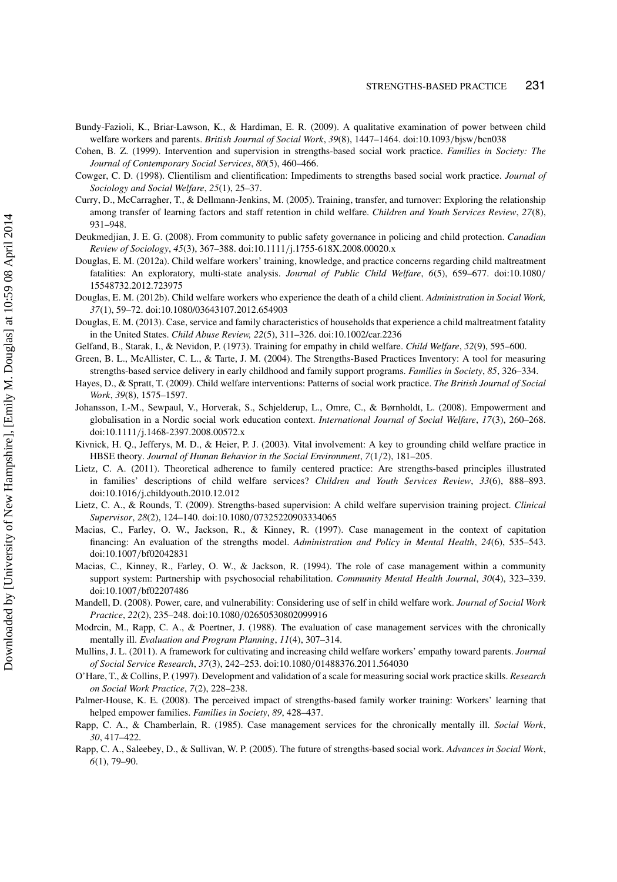<span id="page-13-7"></span>Bundy-Fazioli, K., Briar-Lawson, K., & Hardiman, E. R. (2009). A qualitative examination of power between child welfare workers and parents. *British Journal of Social Work*, *39*(8), 1447–1464. doi:10.1093/bjsw/bcn038

- <span id="page-13-1"></span>Cohen, B. Z. (1999). Intervention and supervision in strengths-based social work practice. *Families in Society: The Journal of Contemporary Social Services*, *80*(5), 460–466.
- <span id="page-13-21"></span>Cowger, C. D. (1998). Clientilism and clientification: Impediments to strengths based social work practice. *Journal of Sociology and Social Welfare*, *25*(1), 25–37.
- <span id="page-13-20"></span>Curry, D., McCarragher, T., & Dellmann-Jenkins, M. (2005). Training, transfer, and turnover: Exploring the relationship among transfer of learning factors and staff retention in child welfare. *Children and Youth Services Review*, *27*(8), 931–948.
- <span id="page-13-11"></span>Deukmedjian, J. E. G. (2008). From community to public safety governance in policing and child protection. *Canadian Review of Sociology*, *45*(3), 367–388. doi:10.1111/j.1755-618X.2008.00020.x
- <span id="page-13-6"></span>Douglas, E. M. (2012a). Child welfare workers' training, knowledge, and practice concerns regarding child maltreatment fatalities: An exploratory, multi-state analysis. *Journal of Public Child Welfare*, *6*(5), 659–677. doi:10.1080/ 15548732.2012.723975
- Douglas, E. M. (2012b). Child welfare workers who experience the death of a child client. *Administration in Social Work, 37*(1), 59–72. doi:10.1080/03643107.2012.654903
- Douglas, E. M. (2013). Case, service and family characteristics of households that experience a child maltreatment fatality in the United States. *Child Abuse Review, 22*(5), 311–326. doi:10.1002/car.2236
- <span id="page-13-9"></span>Gelfand, B., Starak, I., & Nevidon, P. (1973). Training for empathy in child welfare. *Child Welfare*, *52*(9), 595–600.
- <span id="page-13-5"></span>Green, B. L., McAllister, C. L., & Tarte, J. M. (2004). The Strengths-Based Practices Inventory: A tool for measuring strengths-based service delivery in early childhood and family support programs. *Families in Society*, *85*, 326–334.
- <span id="page-13-12"></span>Hayes, D., & Spratt, T. (2009). Child welfare interventions: Patterns of social work practice. *The British Journal of Social Work*, *39*(8), 1575–1597.
- <span id="page-13-13"></span>Johansson, I.-M., Sewpaul, V., Horverak, S., Schjelderup, L., Omre, C., & Børnholdt, L. (2008). Empowerment and globalisation in a Nordic social work education context. *International Journal of Social Welfare*, *17*(3), 260–268. doi:10.1111/j.1468-2397.2008.00572.x
- <span id="page-13-14"></span>Kivnick, H. Q., Jefferys, M. D., & Heier, P. J. (2003). Vital involvement: A key to grounding child welfare practice in HBSE theory. *Journal of Human Behavior in the Social Environment*, *7*(1/2), 181–205.
- <span id="page-13-15"></span>Lietz, C. A. (2011). Theoretical adherence to family centered practice: Are strengths-based principles illustrated in families' descriptions of child welfare services? *Children and Youth Services Review*, *33*(6), 888–893. doi:10.1016/j.childyouth.2010.12.012
- <span id="page-13-16"></span>Lietz, C. A., & Rounds, T. (2009). Strengths-based supervision: A child welfare supervision training project. *Clinical Supervisor*, *28*(2), 124–140. doi:10.1080/07325220903334065
- <span id="page-13-2"></span>Macias, C., Farley, O. W., Jackson, R., & Kinney, R. (1997). Case management in the context of capitation financing: An evaluation of the strengths model. *Administration and Policy in Mental Health*, *24*(6), 535–543. doi:10.1007/bf02042831
- <span id="page-13-3"></span>Macias, C., Kinney, R., Farley, O. W., & Jackson, R. (1994). The role of case management within a community support system: Partnership with psychosocial rehabilitation. *Community Mental Health Journal*, *30*(4), 323–339. doi:10.1007/bf02207486
- <span id="page-13-8"></span>Mandell, D. (2008). Power, care, and vulnerability: Considering use of self in child welfare work. *Journal of Social Work Practice*, *22*(2), 235–248. doi:10.1080/02650530802099916
- <span id="page-13-4"></span>Modrcin, M., Rapp, C. A., & Poertner, J. (1988). The evaluation of case management services with the chronically mentally ill. *Evaluation and Program Planning*, *11*(4), 307–314.
- <span id="page-13-10"></span>Mullins, J. L. (2011). A framework for cultivating and increasing child welfare workers' empathy toward parents. *Journal of Social Service Research*, *37*(3), 242–253. doi:10.1080/01488376.2011.564030
- <span id="page-13-18"></span>O'Hare, T., & Collins, P. (1997). Development and validation of a scale for measuring social work practice skills. *Research on Social Work Practice*, *7*(2), 228–238.
- <span id="page-13-19"></span>Palmer-House, K. E. (2008). The perceived impact of strengths-based family worker training: Workers' learning that helped empower families. *Families in Society*, *89*, 428–437.
- <span id="page-13-0"></span>Rapp, C. A., & Chamberlain, R. (1985). Case management services for the chronically mentally ill. *Social Work*, *30*, 417–422.
- <span id="page-13-17"></span>Rapp, C. A., Saleebey, D., & Sullivan, W. P. (2005). The future of strengths-based social work. *Advances in Social Work*, *6*(1), 79–90.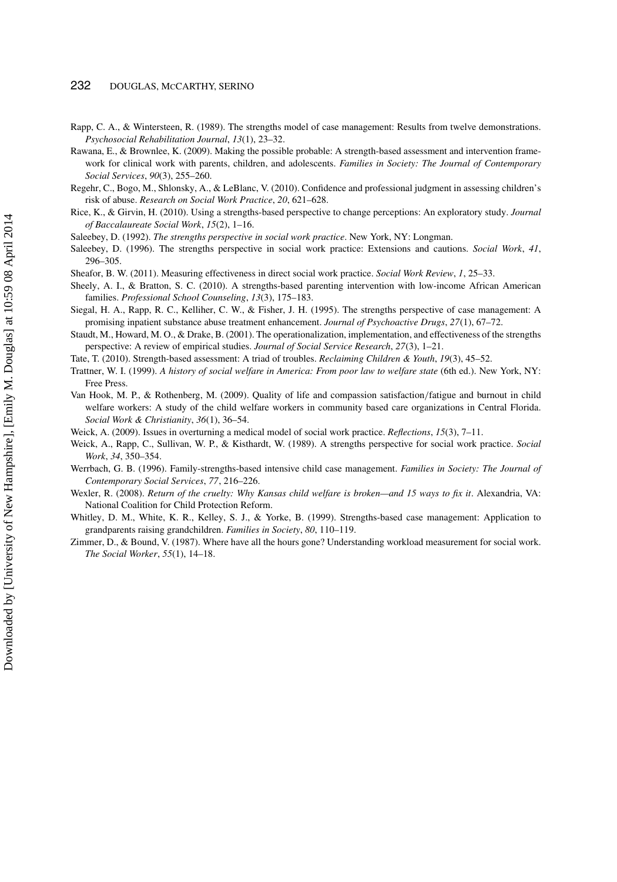- <span id="page-14-6"></span>Rapp, C. A., & Wintersteen, R. (1989). The strengths model of case management: Results from twelve demonstrations. *Psychosocial Rehabilitation Journal*, *13*(1), 23–32.
- <span id="page-14-13"></span>Rawana, E., & Brownlee, K. (2009). Making the possible probable: A strength-based assessment and intervention framework for clinical work with parents, children, and adolescents. *Families in Society: The Journal of Contemporary Social Services*, *90*(3), 255–260.
- <span id="page-14-16"></span>Regehr, C., Bogo, M., Shlonsky, A., & LeBlanc, V. (2010). Confidence and professional judgment in assessing children's risk of abuse. *Research on Social Work Practice*, *20*, 621–628.
- <span id="page-14-8"></span>Rice, K., & Girvin, H. (2010). Using a strengths-based perspective to change perceptions: An exploratory study. *Journal of Baccalaureate Social Work*, *15*(2), 1–16.
- <span id="page-14-3"></span>Saleebey, D. (1992). *The strengths perspective in social work practice*. New York, NY: Longman.
- <span id="page-14-1"></span>Saleebey, D. (1996). The strengths perspective in social work practice: Extensions and cautions. *Social Work*, *41*, 296–305.
- <span id="page-14-14"></span>Sheafor, B. W. (2011). Measuring effectiveness in direct social work practice. *Social Work Review*, *1*, 25–33.
- <span id="page-14-11"></span>Sheely, A. I., & Bratton, S. C. (2010). A strengths-based parenting intervention with low-income African American families. *Professional School Counseling*, *13*(3), 175–183.
- <span id="page-14-7"></span>Siegal, H. A., Rapp, R. C., Kelliher, C. W., & Fisher, J. H. (1995). The strengths perspective of case management: A promising inpatient substance abuse treatment enhancement. *Journal of Psychoactive Drugs*, *27*(1), 67–72.
- <span id="page-14-2"></span>Staudt, M., Howard, M. O., & Drake, B. (2001). The operationalization, implementation, and effectiveness of the strengths perspective: A review of empirical studies. *Journal of Social Service Research*, *27*(3), 1–21.
- <span id="page-14-9"></span>Tate, T. (2010). Strength-based assessment: A triad of troubles. *Reclaiming Children & Youth*, *19*(3), 45–52.
- <span id="page-14-5"></span>Trattner, W. I. (1999). *A history of social welfare in America: From poor law to welfare state* (6th ed.). New York, NY: Free Press.
- <span id="page-14-17"></span>Van Hook, M. P., & Rothenberg, M. (2009). Quality of life and compassion satisfaction/fatigue and burnout in child welfare workers: A study of the child welfare workers in community based care organizations in Central Florida. *Social Work & Christianity*, *36*(1), 36–54.
- <span id="page-14-0"></span>Weick, A. (2009). Issues in overturning a medical model of social work practice. *Reflections*, *15*(3), 7–11.
- <span id="page-14-4"></span>Weick, A., Rapp, C., Sullivan, W. P., & Kisthardt, W. (1989). A strengths perspective for social work practice. *Social Work*, *34*, 350–354.
- <span id="page-14-18"></span>Werrbach, G. B. (1996). Family-strengths-based intensive child case management. *Families in Society: The Journal of Contemporary Social Services*, *77*, 216–226.
- <span id="page-14-10"></span>Wexler, R. (2008). *Return of the cruelty: Why Kansas child welfare is broken—and 15 ways to fix it*. Alexandria, VA: National Coalition for Child Protection Reform.
- <span id="page-14-12"></span>Whitley, D. M., White, K. R., Kelley, S. J., & Yorke, B. (1999). Strengths-based case management: Application to grandparents raising grandchildren. *Families in Society*, *80*, 110–119.
- <span id="page-14-15"></span>Zimmer, D., & Bound, V. (1987). Where have all the hours gone? Understanding workload measurement for social work. *The Social Worker*, *55*(1), 14–18.